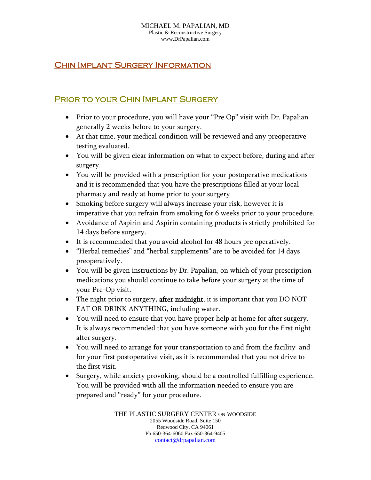## **CHIN IMPLANT SURGERY INFORMATION**

## Prior to your Chin Implant Surgery

- Prior to your procedure, you will have your "Pre Op" visit with Dr. Papalian generally 2 weeks before to your surgery.
- At that time, your medical condition will be reviewed and any preoperative testing evaluated.
- You will be given clear information on what to expect before, during and after surgery.
- You will be provided with a prescription for your postoperative medications and it is recommended that you have the prescriptions filled at your local pharmacy and ready at home prior to your surgery
- Smoking before surgery will always increase your risk, however it is imperative that you refrain from smoking for 6 weeks prior to your procedure.
- Avoidance of Aspirin and Aspirin containing products is strictly prohibited for 14 days before surgery.
- It is recommended that you avoid alcohol for 48 hours pre operatively.
- "Herbal remedies" and "herbal supplements" are to be avoided for 14 days preoperatively.
- You will be given instructions by Dr. Papalian, on which of your prescription medications you should continue to take before your surgery at the time of your Pre-Op visit.
- The night prior to surgery, after midnight, it is important that you DO NOT EAT OR DRINK ANYTHING, including water.
- You will need to ensure that you have proper help at home for after surgery. It is always recommended that you have someone with you for the first night after surgery.
- You will need to arrange for your transportation to and from the facility and for your first postoperative visit, as it is recommended that you not drive to the first visit.
- Surgery, while anxiety provoking, should be a controlled fulfilling experience. You will be provided with all the information needed to ensure you are prepared and "ready" for your procedure.

THE PLASTIC SURGERY CENTER ON WOODSIDE 2055 Woodside Road, Suite 150 Redwood City, CA 94061 Ph 650-364-6060 Fax 650-364-9405 contact@drpapalian.com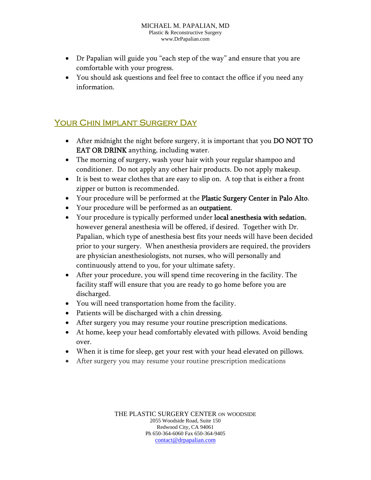- Dr Papalian will guide you "each step of the way" and ensure that you are comfortable with your progress.
- You should ask questions and feel free to contact the office if you need any information.

## YOUR CHIN IMPLANT SURGERY DAY

- After midnight the night before surgery, it is important that you DO NOT TO EAT OR DRINK anything, including water.
- The morning of surgery, wash your hair with your regular shampoo and conditioner. Do not apply any other hair products. Do not apply makeup.
- It is best to wear clothes that are easy to slip on. A top that is either a front zipper or button is recommended.
- Your procedure will be performed at the Plastic Surgery Center in Palo Alto.
- Your procedure will be performed as an outpatient.
- Your procedure is typically performed under local anesthesia with sedation, however general anesthesia will be offered, if desired. Together with Dr. Papalian, which type of anesthesia best fits your needs will have been decided prior to your surgery. When anesthesia providers are required, the providers are physician anesthesiologists, not nurses, who will personally and continuously attend to you, for your ultimate safety.
- After your procedure, you will spend time recovering in the facility. The facility staff will ensure that you are ready to go home before you are discharged.
- You will need transportation home from the facility.
- Patients will be discharged with a chin dressing.
- After surgery you may resume your routine prescription medications.
- At home, keep your head comfortably elevated with pillows. Avoid bending over.
- When it is time for sleep, get your rest with your head elevated on pillows.
- After surgery you may resume your routine prescription medications

THE PLASTIC SURGERY CENTER ON WOODSIDE 2055 Woodside Road, Suite 150 Redwood City, CA 94061 Ph 650-364-6060 Fax 650-364-9405 contact@drpapalian.com